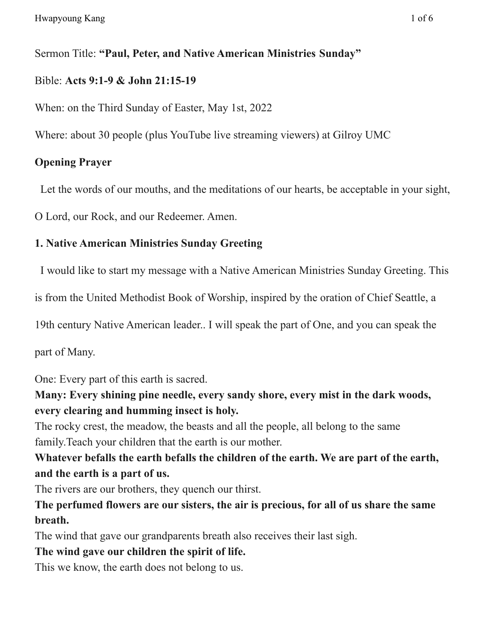### Sermon Title: **"Paul, Peter, and Native American Ministries Sunday"**

### Bible: **Acts 9:1-9 & John 21:15-19**

When: on the Third Sunday of Easter, May 1st, 2022

Where: about 30 people (plus YouTube live streaming viewers) at Gilroy UMC

# **Opening Prayer**

Let the words of our mouths, and the meditations of our hearts, be acceptable in your sight,

O Lord, our Rock, and our Redeemer. Amen.

## **1. Native American Ministries Sunday Greeting**

I would like to start my message with a Native American Ministries Sunday Greeting. This

is from the United Methodist Book of Worship, inspired by the oration of Chief Seattle, a

19th century Native American leader.. I will speak the part of One, and you can speak the

part of Many.

One: Every part of this earth is sacred.

**Many: Every shining pine needle, every sandy shore, every mist in the dark woods, every clearing and humming insect is holy.**

The rocky crest, the meadow, the beasts and all the people, all belong to the same family.Teach your children that the earth is our mother.

**Whatever befalls the earth befalls the children of the earth. We are part of the earth, and the earth is a part of us.**

The rivers are our brothers, they quench our thirst.

**The perfumed flowers are our sisters, the air is precious, for all of us share the same breath.**

The wind that gave our grandparents breath also receives their last sigh.

## **The wind gave our children the spirit of life.**

This we know, the earth does not belong to us.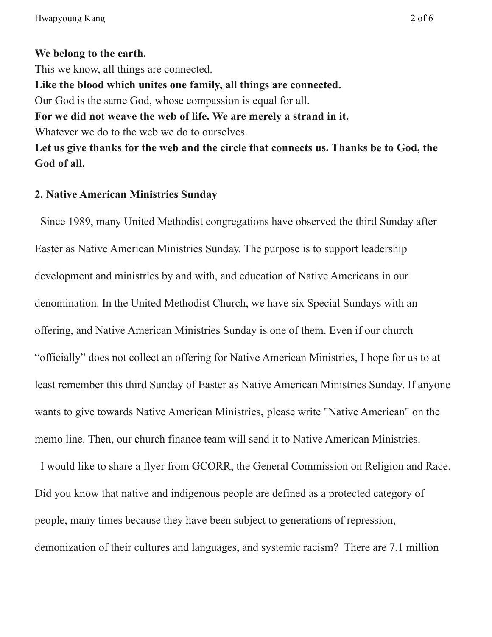### **We belong to the earth.**

This we know, all things are connected. **Like the blood which unites one family, all things are connected.** Our God is the same God, whose compassion is equal for all. **For we did not weave the web of life. We are merely a strand in it.** Whatever we do to the web we do to ourselves. **Let us give thanks for the web and the circle that connects us. Thanks be to God, the God of all.**

#### **2. Native American Ministries Sunday**

Since 1989, many United Methodist congregations have observed the third Sunday after Easter as Native American Ministries Sunday. The purpose is to support leadership development and ministries by and with, and education of Native Americans in our denomination. In the United Methodist Church, we have six Special Sundays with an offering, and Native American Ministries Sunday is one of them. Even if our church "officially" does not collect an offering for Native American Ministries, I hope for us to at least remember this third Sunday of Easter as Native American Ministries Sunday. If anyone wants to give towards Native American Ministries, please write "Native American" on the memo line. Then, our church finance team will send it to Native American Ministries.

I would like to share a flyer from GCORR, the General Commission on Religion and Race. Did you know that native and indigenous people are defined as a protected category of people, many times because they have been subject to generations of repression, demonization of their cultures and languages, and systemic racism? There are 7.1 million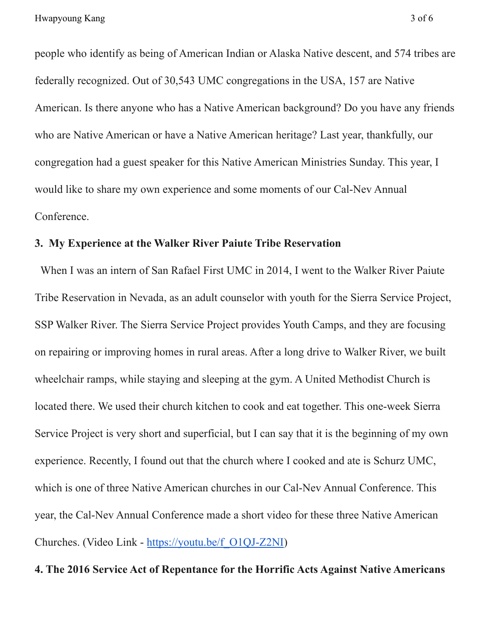people who identify as being of American Indian or Alaska Native descent, and 574 tribes are federally recognized. Out of 30,543 UMC congregations in the USA, 157 are Native American. Is there anyone who has a Native American background? Do you have any friends who are Native American or have a Native American heritage? Last year, thankfully, our congregation had a guest speaker for this Native American Ministries Sunday. This year, I would like to share my own experience and some moments of our Cal-Nev Annual Conference.

#### **3. My Experience at the Walker River Paiute Tribe Reservation**

When I was an intern of San Rafael First UMC in 2014, I went to the Walker River Paiute Tribe Reservation in Nevada, as an adult counselor with youth for the Sierra Service Project, SSP Walker River. The Sierra Service Project provides Youth Camps, and they are focusing on repairing or improving homes in rural areas. After a long drive to Walker River, we built wheelchair ramps, while staying and sleeping at the gym. A United Methodist Church is located there. We used their church kitchen to cook and eat together. This one-week Sierra Service Project is very short and superficial, but I can say that it is the beginning of my own experience. Recently, I found out that the church where I cooked and ate is Schurz UMC, which is one of three Native American churches in our Cal-Nev Annual Conference. This year, the Cal-Nev Annual Conference made a short video for these three Native American Churches. (Video Link - [https://youtu.be/f\\_O1QJ-Z2NI](https://youtu.be/f_O1QJ-Z2NI))

#### **4. The 2016 Service Act of Repentance for the Horrific Acts Against Native Americans**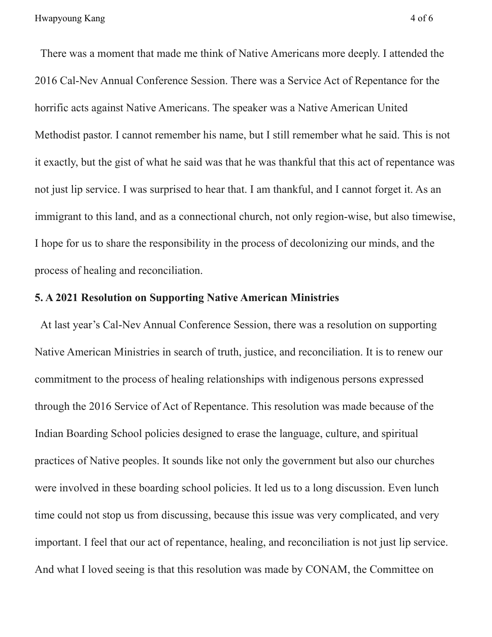There was a moment that made me think of Native Americans more deeply. I attended the 2016 Cal-Nev Annual Conference Session. There was a Service Act of Repentance for the horrific acts against Native Americans. The speaker was a Native American United Methodist pastor. I cannot remember his name, but I still remember what he said. This is not it exactly, but the gist of what he said was that he was thankful that this act of repentance was not just lip service. I was surprised to hear that. I am thankful, and I cannot forget it. As an immigrant to this land, and as a connectional church, not only region-wise, but also timewise, I hope for us to share the responsibility in the process of decolonizing our minds, and the process of healing and reconciliation.

#### **5. A 2021 Resolution on Supporting Native American Ministries**

At last year's Cal-Nev Annual Conference Session, there was a resolution on supporting Native American Ministries in search of truth, justice, and reconciliation. It is to renew our commitment to the process of healing relationships with indigenous persons expressed through the 2016 Service of Act of Repentance. This resolution was made because of the Indian Boarding School policies designed to erase the language, culture, and spiritual practices of Native peoples. It sounds like not only the government but also our churches were involved in these boarding school policies. It led us to a long discussion. Even lunch time could not stop us from discussing, because this issue was very complicated, and very important. I feel that our act of repentance, healing, and reconciliation is not just lip service. And what I loved seeing is that this resolution was made by CONAM, the Committee on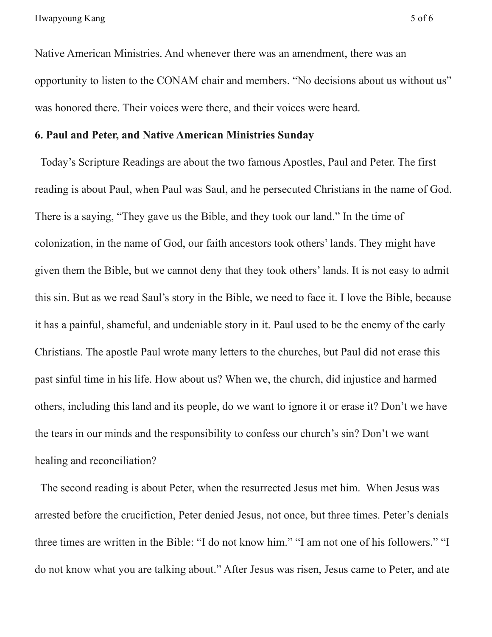Native American Ministries. And whenever there was an amendment, there was an opportunity to listen to the CONAM chair and members. "No decisions about us without us" was honored there. Their voices were there, and their voices were heard.

#### **6. Paul and Peter, and Native American Ministries Sunday**

Today's Scripture Readings are about the two famous Apostles, Paul and Peter. The first reading is about Paul, when Paul was Saul, and he persecuted Christians in the name of God. There is a saying, "They gave us the Bible, and they took our land." In the time of colonization, in the name of God, our faith ancestors took others' lands. They might have given them the Bible, but we cannot deny that they took others' lands. It is not easy to admit this sin. But as we read Saul's story in the Bible, we need to face it. I love the Bible, because it has a painful, shameful, and undeniable story in it. Paul used to be the enemy of the early Christians. The apostle Paul wrote many letters to the churches, but Paul did not erase this past sinful time in his life. How about us? When we, the church, did injustice and harmed others, including this land and its people, do we want to ignore it or erase it? Don't we have the tears in our minds and the responsibility to confess our church's sin? Don't we want healing and reconciliation?

The second reading is about Peter, when the resurrected Jesus met him. When Jesus was arrested before the crucifiction, Peter denied Jesus, not once, but three times. Peter's denials three times are written in the Bible: "I do not know him." "I am not one of his followers." "I do not know what you are talking about." After Jesus was risen, Jesus came to Peter, and ate